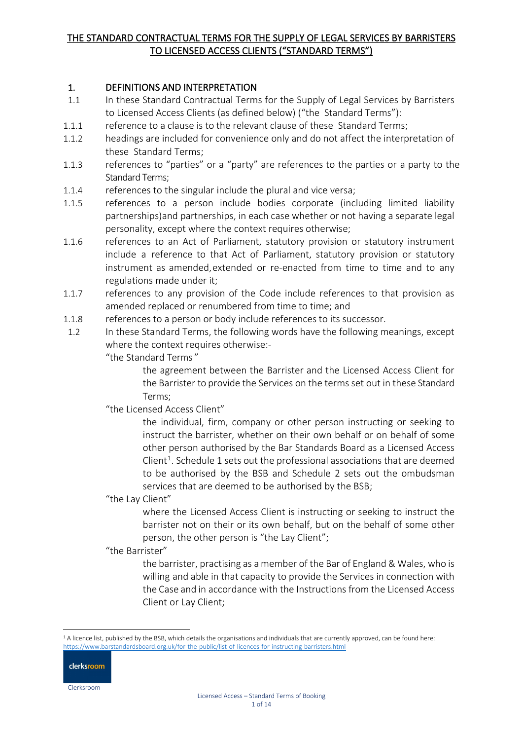## 1. DEFINITIONS AND INTERPRETATION

- 1.1 In these Standard Contractual Terms for the Supply of Legal Services by Barristers to Licensed Access Clients (as defined below) ("the Standard Terms"):
- 1.1.1 reference to a clause is to the relevant clause of these Standard Terms;
- 1.1.2 headings are included for convenience only and do not affect the interpretation of these Standard Terms;
- 1.1.3 references to "parties" or a "party" are references to the parties or a party to the Standard Terms;
- 1.1.4 references to the singular include the plural and vice versa;
- 1.1.5 references to a person include bodies corporate (including limited liability partnerships)and partnerships, in each case whether or not having a separate legal personality, except where the context requires otherwise;
- 1.1.6 references to an Act of Parliament, statutory provision or statutory instrument include a reference to that Act of Parliament, statutory provision or statutory instrument as amended,extended or re-enacted from time to time and to any regulations made under it;
- 1.1.7 references to any provision of the Code include references to that provision as amended replaced or renumbered from time to time; and
- 1.1.8 references to a person or body include references to its successor.
- 1.2 In these Standard Terms, the following words have the following meanings, except where the context requires otherwise:-

"the Standard Terms "

the agreement between the Barrister and the Licensed Access Client for the Barrister to provide the Services on the terms set out in these Standard Terms;

"the Licensed Access Client"

the individual, firm, company or other person instructing or seeking to instruct the barrister, whether on their own behalf or on behalf of some other person authorised by the Bar Standards Board as a Licensed Access Client<sup>[1](#page-0-0)</sup>. Schedule 1 sets out the professional associations that are deemed to be authorised by the BSB and Schedule 2 sets out the ombudsman services that are deemed to be authorised by the BSB;

"the Lay Client"

where the Licensed Access Client is instructing or seeking to instruct the barrister not on their or its own behalf, but on the behalf of some other person, the other person is "the Lay Client";

"the Barrister"

the barrister, practising as a member of the Bar of England & Wales, who is willing and able in that capacity to provide the Services in connection with the Case and in accordance with the Instructions from the Licensed Access Client or Lay Client;

<span id="page-0-0"></span><sup>&</sup>lt;sup>1</sup> A licence list, published by the BSB, which details the organisations and individuals that are currently approved, can be found here: <https://www.barstandardsboard.org.uk/for-the-public/list-of-licences-for-instructing-barristers.html>

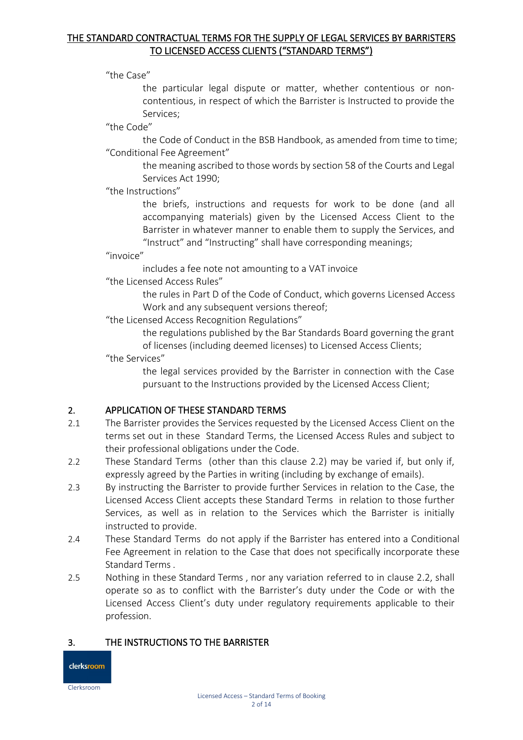"the Case"

the particular legal dispute or matter, whether contentious or noncontentious, in respect of which the Barrister is Instructed to provide the Services;

"the Code"

the Code of Conduct in the BSB Handbook, as amended from time to time; "Conditional Fee Agreement"

> the meaning ascribed to those words by section 58 of the Courts and Legal Services Act 1990;

#### "the Instructions"

the briefs, instructions and requests for work to be done (and all accompanying materials) given by the Licensed Access Client to the Barrister in whatever manner to enable them to supply the Services, and "Instruct" and "Instructing" shall have corresponding meanings;

#### "invoice"

includes a fee note not amounting to a VAT invoice

"the Licensed Access Rules"

the rules in Part D of the Code of Conduct, which governs Licensed Access Work and any subsequent versions thereof;

"the Licensed Access Recognition Regulations"

the regulations published by the Bar Standards Board governing the grant of licenses (including deemed licenses) to Licensed Access Clients;

"the Services"

the legal services provided by the Barrister in connection with the Case pursuant to the Instructions provided by the Licensed Access Client;

## 2. APPLICATION OF THESE STANDARD TERMS

- 2.1 The Barrister provides the Services requested by the Licensed Access Client on the terms set out in these Standard Terms, the Licensed Access Rules and subject to their professional obligations under the Code.
- 2.2 These Standard Terms (other than this clause 2.2) may be varied if, but only if, expressly agreed by the Parties in writing (including by exchange of emails).
- 2.3 By instructing the Barrister to provide further Services in relation to the Case, the Licensed Access Client accepts these Standard Terms in relation to those further Services, as well as in relation to the Services which the Barrister is initially instructed to provide.
- 2.4 These Standard Terms do not apply if the Barrister has entered into a Conditional Fee Agreement in relation to the Case that does not specifically incorporate these Standard Terms .
- 2.5 Nothing in these Standard Terms , nor any variation referred to in clause 2.2, shall operate so as to conflict with the Barrister's duty under the Code or with the Licensed Access Client's duty under regulatory requirements applicable to their profession.

## 3. THE INSTRUCTIONS TO THE BARRISTER

clerksroom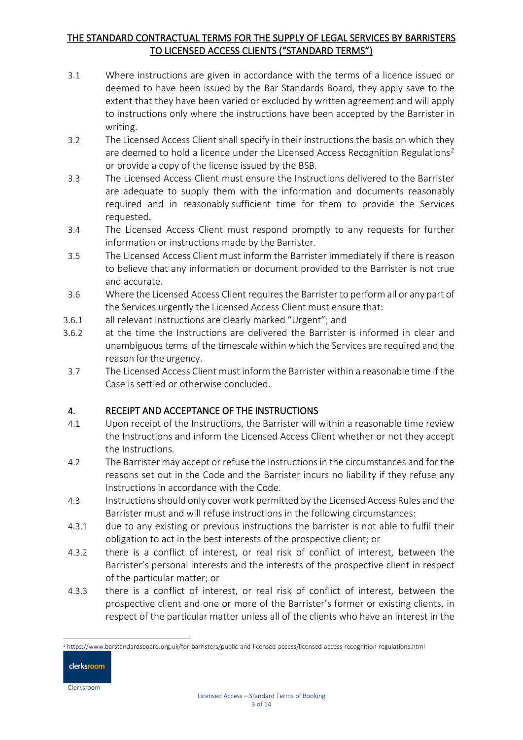- 3.1 Where instructions are given in accordance with the terms of a licence issued or deemed to have been issued by the Bar Standards Board, they apply save to the extent that they have been varied or excluded by written agreement and will apply to instructions only where the instructions have been accepted by the Barrister in writing.
- 3.2 The Licensed Access Client shall specify in their instructions the basis on which they are deemed to hold a licence under the Licensed Access Recognition Regulations<sup>[2](#page-2-0)</sup> or provide a copy of the license issued by the BSB.
- 3.3 The Licensed Access Client must ensure the Instructions delivered to the Barrister are adequate to supply them with the information and documents reasonably required and in reasonably sufficient time for them to provide the Services requested.
- 3.4 The Licensed Access Client must respond promptly to any requests for further information or instructions made by the Barrister.
- 3.5 The Licensed Access Client must inform the Barrister immediately if there is reason to believe that any information or document provided to the Barrister is not true and accurate.
- 3.6 Where the Licensed Access Client requiresthe Barrister to perform all or any part of the Services urgently the Licensed Access Client must ensure that:
- 3.6.1 all relevant Instructions are clearly marked "Urgent"; and
- 3.6.2 at the time the Instructions are delivered the Barrister is informed in clear and unambiguous terms of the timescale within which the Services are required and the reason for the urgency.
- 3.7 The Licensed Access Client must inform the Barrister within a reasonable time if the Case is settled or otherwise concluded.

## 4. RECEIPT AND ACCEPTANCE OF THE INSTRUCTIONS

- 4.1 Upon receipt of the Instructions, the Barrister will within a reasonable time review the Instructions and inform the Licensed Access Client whether or not they accept the Instructions.
- 4.2 The Barrister may accept or refuse the Instructionsin the circumstances and for the reasons set out in the Code and the Barrister incurs no liability if they refuse any Instructions in accordance with the Code.
- 4.3 Instructions should only cover work permitted by the Licensed Access Rules and the Barrister must and will refuse instructions in the following circumstances:
- 4.3.1 due to any existing or previous instructions the barrister is not able to fulfil their obligation to act in the best interests of the prospective client; or
- 4.3.2 there is a conflict of interest, or real risk of conflict of interest, between the Barrister's personal interests and the interests of the prospective client in respect of the particular matter; or
- 4.3.3 there is a conflict of interest, or real risk of conflict of interest, between the prospective client and one or more of the Barrister's former or existing clients, in respect of the particular matter unless all of the clients who have an interest in the

<span id="page-2-0"></span><sup>2</sup> https://www.barstandardsboard.org.uk/for-barristers/public-and-licensed-access/licensed-access-recognition-regulations.html

clerksroom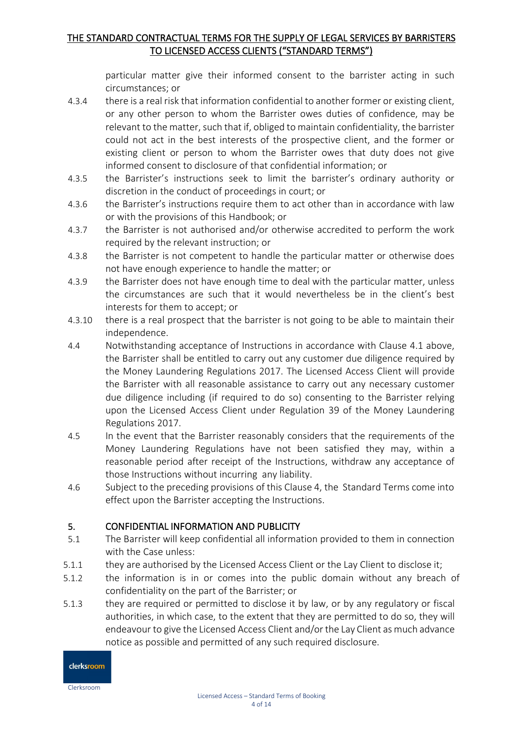particular matter give their informed consent to the barrister acting in such circumstances; or

- 4.3.4 there is a real risk that information confidential to another former or existing client, or any other person to whom the Barrister owes duties of confidence, may be relevant to the matter, such that if, obliged to maintain confidentiality, the barrister could not act in the best interests of the prospective client, and the former or existing client or person to whom the Barrister owes that duty does not give informed consent to disclosure of that confidential information; or
- 4.3.5 the Barrister's instructions seek to limit the barrister's ordinary authority or discretion in the conduct of proceedings in court; or
- 4.3.6 the Barrister's instructions require them to act other than in accordance with law or with the provisions of this Handbook; or
- 4.3.7 the Barrister is not authorised and/or otherwise accredited to perform the work required by the relevant instruction; or
- 4.3.8 the Barrister is not competent to handle the particular matter or otherwise does not have enough experience to handle the matter; or
- 4.3.9 the Barrister does not have enough time to deal with the particular matter, unless the circumstances are such that it would nevertheless be in the client's best interests for them to accept; or
- 4.3.10 there is a real prospect that the barrister is not going to be able to maintain their independence.
- 4.4 Notwithstanding acceptance of Instructions in accordance with Clause 4.1 above, the Barrister shall be entitled to carry out any customer due diligence required by the Money Laundering Regulations 2017. The Licensed Access Client will provide the Barrister with all reasonable assistance to carry out any necessary customer due diligence including (if required to do so) consenting to the Barrister relying upon the Licensed Access Client under Regulation 39 of the Money Laundering Regulations 2017.
- 4.5 In the event that the Barrister reasonably considers that the requirements of the Money Laundering Regulations have not been satisfied they may, within a reasonable period after receipt of the Instructions, withdraw any acceptance of those Instructions without incurring any liability.
- 4.6 Subject to the preceding provisions of this Clause 4, the Standard Terms come into effect upon the Barrister accepting the Instructions.

## 5. CONFIDENTIAL INFORMATION AND PUBLICITY

- 5.1 The Barrister will keep confidential all information provided to them in connection with the Case unless:
- 5.1.1 they are authorised by the Licensed Access Client or the Lay Client to disclose it;
- 5.1.2 the information is in or comes into the public domain without any breach of confidentiality on the part of the Barrister; or
- 5.1.3 they are required or permitted to disclose it by law, or by any regulatory or fiscal authorities, in which case, to the extent that they are permitted to do so, they will endeavour to give the Licensed Access Client and/or the Lay Client as much advance notice as possible and permitted of any such required disclosure.

clerksroom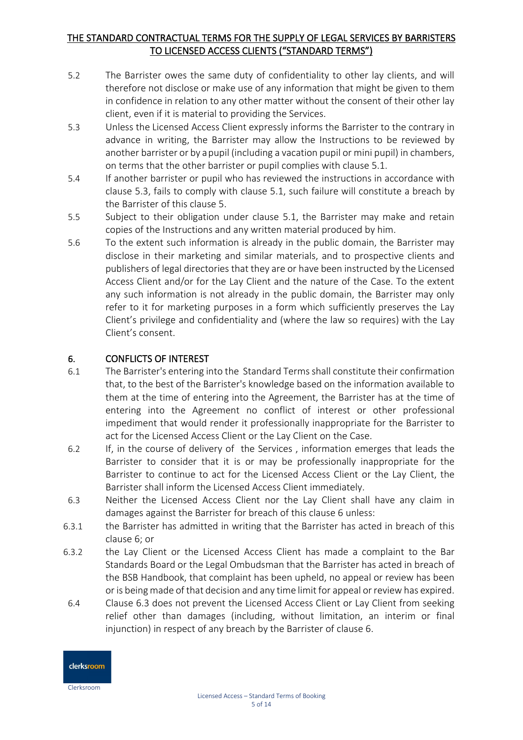- 5.2 The Barrister owes the same duty of confidentiality to other lay clients, and will therefore not disclose or make use of any information that might be given to them in confidence in relation to any other matter without the consent of their other lay client, even if it is material to providing the Services.
- 5.3 Unless the Licensed Access Client expressly informs the Barrister to the contrary in advance in writing, the Barrister may allow the Instructions to be reviewed by another barrister or by a pupil (including a vacation pupil or mini pupil) in chambers, on terms that the other barrister or pupil complies with clause 5.1.
- 5.4 If another barrister or pupil who has reviewed the instructions in accordance with clause 5.3, fails to comply with clause 5.1, such failure will constitute a breach by the Barrister of this clause 5.
- 5.5 Subject to their obligation under clause 5.1, the Barrister may make and retain copies of the Instructions and any written material produced by him.
- 5.6 To the extent such information is already in the public domain, the Barrister may disclose in their marketing and similar materials, and to prospective clients and publishers of legal directories that they are or have been instructed by the Licensed Access Client and/or for the Lay Client and the nature of the Case. To the extent any such information is not already in the public domain, the Barrister may only refer to it for marketing purposes in a form which sufficiently preserves the Lay Client's privilege and confidentiality and (where the law so requires) with the Lay Client's consent.

## 6. CONFLICTS OF INTEREST

- 6.1 The Barrister's entering into the Standard Termsshall constitute their confirmation that, to the best of the Barrister's knowledge based on the information available to them at the time of entering into the Agreement, the Barrister has at the time of entering into the Agreement no conflict of interest or other professional impediment that would render it professionally inappropriate for the Barrister to act for the Licensed Access Client or the Lay Client on the Case.
- 6.2 If, in the course of delivery of the Services , information emerges that leads the Barrister to consider that it is or may be professionally inappropriate for the Barrister to continue to act for the Licensed Access Client or the Lay Client, the Barrister shall inform the Licensed Access Client immediately.
- 6.3 Neither the Licensed Access Client nor the Lay Client shall have any claim in damages against the Barrister for breach of this clause 6 unless:
- 6.3.1 the Barrister has admitted in writing that the Barrister has acted in breach of this clause 6; or
- 6.3.2 the Lay Client or the Licensed Access Client has made a complaint to the Bar Standards Board or the Legal Ombudsman that the Barrister has acted in breach of the BSB Handbook, that complaint has been upheld, no appeal or review has been or is being made of that decision and any time limit for appeal or review has expired.
- 6.4 Clause 6.3 does not prevent the Licensed Access Client or Lay Client from seeking relief other than damages (including, without limitation, an interim or final injunction) in respect of any breach by the Barrister of clause 6.

clerksroom Clerksroom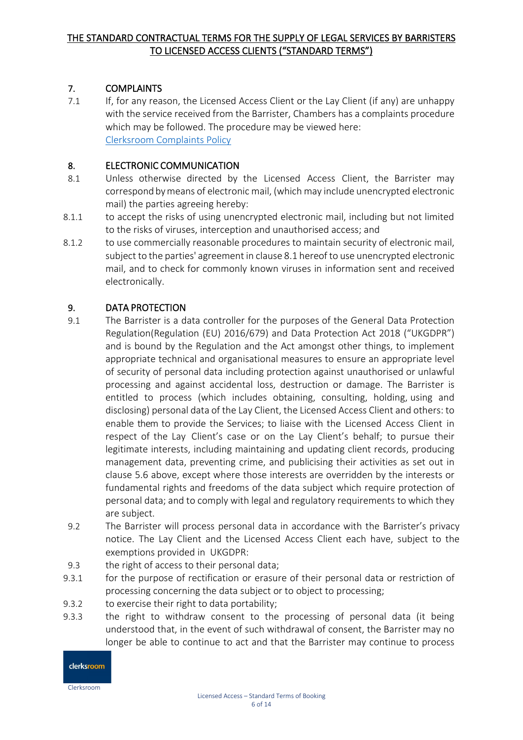## 7. COMPLAINTS

7.1 If, for any reason, the Licensed Access Client or the Lay Client (if any) are unhappy with the service received from the Barrister, Chambers has a complaints procedure which may be followed. The procedure may be viewed here: [Clerksroom Complaints Policy](https://www.clerksroom.com/content-html?cid=416) 

## 8. ELECTRONIC COMMUNICATION

- 8.1 Unless otherwise directed by the Licensed Access Client, the Barrister may correspondbymeans of electronic mail, (which may include unencrypted electronic mail) the parties agreeing hereby:
- 8.1.1 to accept the risks of using unencrypted electronic mail, including but not limited to the risks of viruses, interception and unauthorised access; and
- 8.1.2 to use commercially reasonable procedures to maintain security of electronic mail, subject to the parties' agreement in clause 8.1 hereof to use unencrypted electronic mail, and to check for commonly known viruses in information sent and received electronically.

## 9. DATA PROTECTION

- 9.1 The Barrister is a data controller for the purposes of the General Data Protection Regulation(Regulation (EU) 2016/679) and Data Protection Act 2018 ("UKGDPR") and is bound by the Regulation and the Act amongst other things, to implement appropriate technical and organisational measures to ensure an appropriate level of security of personal data including protection against unauthorised or unlawful processing and against accidental loss, destruction or damage. The Barrister is entitled to process (which includes obtaining, consulting, holding, using and disclosing) personal data of the Lay Client, the Licensed Access Client and others: to enable them to provide the Services; to liaise with the Licensed Access Client in respect of the Lay Client's case or on the Lay Client's behalf; to pursue their legitimate interests, including maintaining and updating client records, producing management data, preventing crime, and publicising their activities as set out in clause 5.6 above, except where those interests are overridden by the interests or fundamental rights and freedoms of the data subject which require protection of personal data; and to comply with legal and regulatory requirements to which they are subject.
- 9.2 The Barrister will process personal data in accordance with the Barrister's privacy notice. The Lay Client and the Licensed Access Client each have, subject to the exemptions provided in UKGDPR:
- 9.3 the right of access to their personal data;
- 9.3.1 for the purpose of rectification or erasure of their personal data or restriction of processing concerning the data subject or to object to processing;
- 9.3.2 to exercise their right to data portability;
- 9.3.3 the right to withdraw consent to the processing of personal data (it being understood that, in the event of such withdrawal of consent, the Barrister may no longer be able to continue to act and that the Barrister may continue to process

clerksroom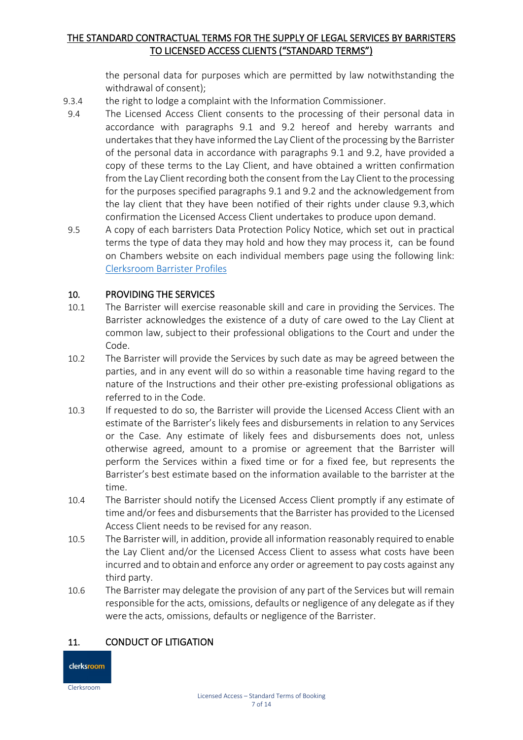the personal data for purposes which are permitted by law notwithstanding the withdrawal of consent);

- 9.3.4 the right to lodge a complaint with the Information Commissioner.
- 9.4 The Licensed Access Client consents to the processing of their personal data in accordance with paragraphs 9.1 and 9.2 hereof and hereby warrants and undertakes that they have informed the Lay Client of the processing by the Barrister of the personal data in accordance with paragraphs 9.1 and 9.2, have provided a copy of these terms to the Lay Client, and have obtained a written confirmation from the Lay Client recording both the consent from the Lay Client to the processing for the purposes specified paragraphs 9.1 and 9.2 and the acknowledgement from the lay client that they have been notified of their rights under clause 9.3,which confirmation the Licensed Access Client undertakes to produce upon demand.
- 9.5 A copy of each barristers Data Protection Policy Notice, which set out in practical terms the type of data they may hold and how they may process it, can be found on Chambers website on each individual members page using the following link: [Clerksroom Barrister Profiles](https://www.clerksroom.com/profile-list?type=barristers&fl=any)

## 10. PROVIDING THE SERVICES

- 10.1 The Barrister will exercise reasonable skill and care in providing the Services. The Barrister acknowledges the existence of a duty of care owed to the Lay Client at common law, subject to their professional obligations to the Court and under the Code.
- 10.2 The Barrister will provide the Services by such date as may be agreed between the parties, and in any event will do so within a reasonable time having regard to the nature of the Instructions and their other pre-existing professional obligations as referred to in the Code.
- 10.3 If requested to do so, the Barrister will provide the Licensed Access Client with an estimate of the Barrister's likely fees and disbursements in relation to any Services or the Case. Any estimate of likely fees and disbursements does not, unless otherwise agreed, amount to a promise or agreement that the Barrister will perform the Services within a fixed time or for a fixed fee, but represents the Barrister's best estimate based on the information available to the barrister at the time.
- 10.4 The Barrister should notify the Licensed Access Client promptly if any estimate of time and/or fees and disbursements that the Barrister has provided to the Licensed Access Client needs to be revised for any reason.
- 10.5 The Barrister will, in addition, provide all information reasonably required to enable the Lay Client and/or the Licensed Access Client to assess what costs have been incurred and to obtain and enforce any order or agreement to pay costs against any third party.
- 10.6 The Barrister may delegate the provision of any part of the Services but will remain responsible for the acts, omissions, defaults or negligence of any delegate as if they were the acts, omissions, defaults or negligence of the Barrister.

## 11. CONDUCT OF LITIGATION

clerksroom Clerksroom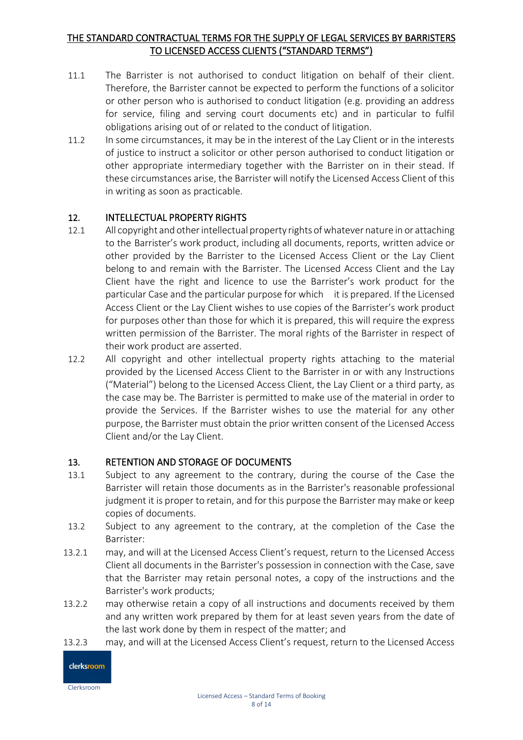- 11.1 The Barrister is not authorised to conduct litigation on behalf of their client. Therefore, the Barrister cannot be expected to perform the functions of a solicitor or other person who is authorised to conduct litigation (e.g. providing an address for service, filing and serving court documents etc) and in particular to fulfil obligations arising out of or related to the conduct of litigation.
- 11.2 In some circumstances, it may be in the interest of the Lay Client or in the interests of justice to instruct a solicitor or other person authorised to conduct litigation or other appropriate intermediary together with the Barrister on in their stead. If these circumstances arise, the Barrister will notify the Licensed Access Client of this in writing as soon as practicable.

## 12. INTELLECTUAL PROPERTY RIGHTS

- 12.1 All copyright and otherintellectual property rights ofwhatever nature in or attaching to the Barrister's work product, including all documents, reports, written advice or other provided by the Barrister to the Licensed Access Client or the Lay Client belong to and remain with the Barrister. The Licensed Access Client and the Lay Client have the right and licence to use the Barrister's work product for the particular Case and the particular purpose for which it is prepared. If the Licensed Access Client or the Lay Client wishes to use copies of the Barrister's work product for purposes other than those for which it is prepared, this will require the express written permission of the Barrister. The moral rights of the Barrister in respect of their work product are asserted.
- 12.2 All copyright and other intellectual property rights attaching to the material provided by the Licensed Access Client to the Barrister in or with any Instructions ("Material") belong to the Licensed Access Client, the Lay Client or a third party, as the case may be. The Barrister is permitted to make use of the material in order to provide the Services. If the Barrister wishes to use the material for any other purpose, the Barrister must obtain the prior written consent of the Licensed Access Client and/or the Lay Client.

## 13. RETENTION AND STORAGE OF DOCUMENTS

- 13.1 Subject to any agreement to the contrary, during the course of the Case the Barrister will retain those documents as in the Barrister's reasonable professional judgment it is proper to retain, and for this purpose the Barrister may make or keep copies of documents.
- 13.2 Subject to any agreement to the contrary, at the completion of the Case the Barrister:
- 13.2.1 may, and will at the Licensed Access Client's request, return to the Licensed Access Client all documents in the Barrister's possession in connection with the Case, save that the Barrister may retain personal notes, a copy of the instructions and the Barrister's work products;
- 13.2.2 may otherwise retain a copy of all instructions and documents received by them and any written work prepared by them for at least seven years from the date of the last work done by them in respect of the matter; and
- 13.2.3 may, and will at the Licensed Access Client's request, return to the Licensed Access

clerksroom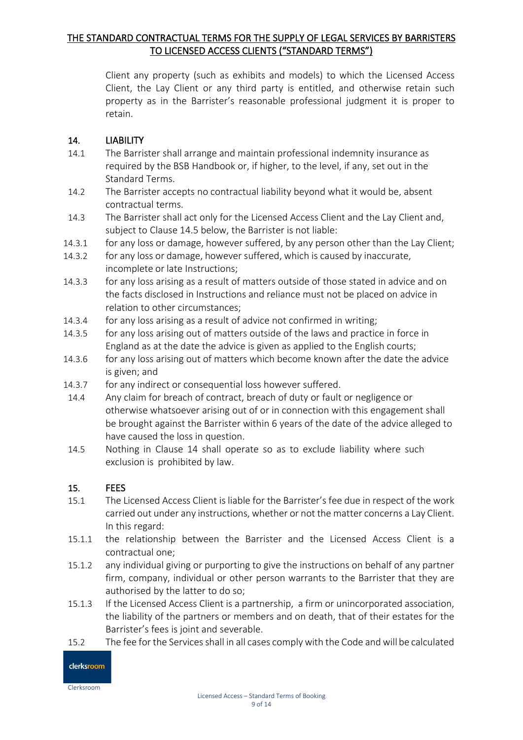Client any property (such as exhibits and models) to which the Licensed Access Client, the Lay Client or any third party is entitled, and otherwise retain such property as in the Barrister's reasonable professional judgment it is proper to retain.

## 14. LIABILITY

- 14.1 The Barrister shall arrange and maintain professional indemnity insurance as required by the BSB Handbook or, if higher, to the level, if any, set out in the Standard Terms.
- 14.2 The Barrister accepts no contractual liability beyond what it would be, absent contractual terms.
- 14.3 The Barrister shall act only for the Licensed Access Client and the Lay Client and, subject to Clause 14.5 below, the Barrister is not liable:
- 14.3.1 for any loss or damage, however suffered, by any person other than the Lay Client;
- 14.3.2 for any loss or damage, however suffered, which is caused by inaccurate, incomplete or late Instructions;
- 14.3.3 for any loss arising as a result of matters outside of those stated in advice and on the facts disclosed in Instructions and reliance must not be placed on advice in relation to other circumstances;
- 14.3.4 for any loss arising as a result of advice not confirmed in writing;
- 14.3.5 for any loss arising out of matters outside of the laws and practice in force in England as at the date the advice is given as applied to the English courts;
- 14.3.6 for any loss arising out of matters which become known after the date the advice is given; and
- 14.3.7 for any indirect or consequential loss however suffered.
- 14.4 Any claim for breach of contract, breach of duty or fault or negligence or otherwise whatsoever arising out of or in connection with this engagement shall be brought against the Barrister within 6 years of the date of the advice alleged to have caused the loss in question.
- 14.5 Nothing in Clause 14 shall operate so as to exclude liability where such exclusion is prohibited by law.

## 15. FEES

- 15.1 The Licensed Access Client is liable for the Barrister's fee due in respect of the work carried out under any instructions, whether or not the matter concerns a Lay Client. In this regard:
- 15.1.1 the relationship between the Barrister and the Licensed Access Client is a contractual one;
- 15.1.2 any individual giving or purporting to give the instructions on behalf of any partner firm, company, individual or other person warrants to the Barrister that they are authorised by the latter to do so;
- 15.1.3 If the Licensed Access Client is a partnership, a firm or unincorporated association, the liability of the partners or members and on death, that of their estates for the Barrister's fees is joint and severable.
- 15.2 The fee for the Services shall in all cases comply with the Code and will be calculated

clerksroom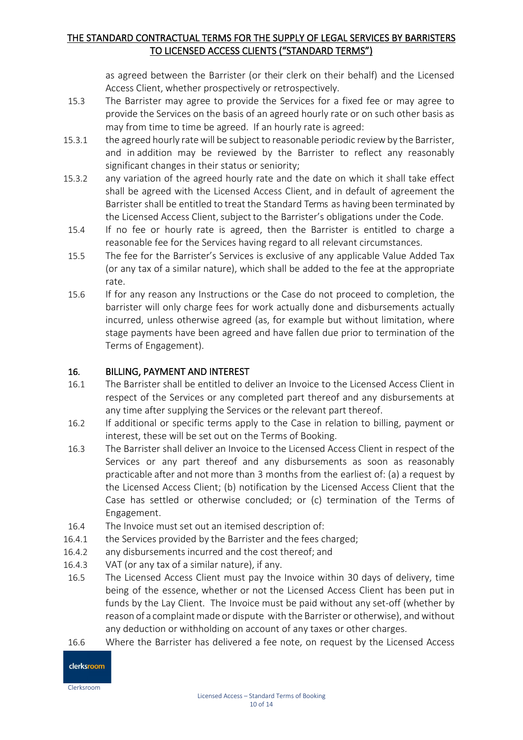as agreed between the Barrister (or their clerk on their behalf) and the Licensed Access Client, whether prospectively or retrospectively.

- 15.3 The Barrister may agree to provide the Services for a fixed fee or may agree to provide the Services on the basis of an agreed hourly rate or on such other basis as may from time to time be agreed. If an hourly rate is agreed:
- 15.3.1 the agreed hourly rate will be subject to reasonable periodic review by the Barrister, and in addition may be reviewed by the Barrister to reflect any reasonably significant changes in their status or seniority;
- 15.3.2 any variation of the agreed hourly rate and the date on which it shall take effect shall be agreed with the Licensed Access Client, and in default of agreement the Barrister shall be entitled to treat the Standard Terms as having been terminated by the Licensed Access Client, subject to the Barrister's obligations under the Code.
- 15.4 If no fee or hourly rate is agreed, then the Barrister is entitled to charge a reasonable fee for the Services having regard to all relevant circumstances.
- 15.5 The fee for the Barrister's Services is exclusive of any applicable Value Added Tax (or any tax of a similar nature), which shall be added to the fee at the appropriate rate.
- 15.6 If for any reason any Instructions or the Case do not proceed to completion, the barrister will only charge fees for work actually done and disbursements actually incurred, unless otherwise agreed (as, for example but without limitation, where stage payments have been agreed and have fallen due prior to termination of the Terms of Engagement).

## 16. BILLING, PAYMENT AND INTEREST

- 16.1 The Barrister shall be entitled to deliver an Invoice to the Licensed Access Client in respect of the Services or any completed part thereof and any disbursements at any time after supplying the Services or the relevant part thereof.
- 16.2 If additional or specific terms apply to the Case in relation to billing, payment or interest, these will be set out on the Terms of Booking.
- 16.3 The Barrister shall deliver an Invoice to the Licensed Access Client in respect of the Services or any part thereof and any disbursements as soon as reasonably practicable after and not more than 3 months from the earliest of: (a) a request by the Licensed Access Client; (b) notification by the Licensed Access Client that the Case has settled or otherwise concluded; or (c) termination of the Terms of Engagement.
- 16.4 The Invoice must set out an itemised description of:
- 16.4.1 the Services provided by the Barrister and the fees charged;
- 16.4.2 any disbursements incurred and the cost thereof; and
- 16.4.3 VAT (or any tax of a similar nature), if any.
- 16.5 The Licensed Access Client must pay the Invoice within 30 days of delivery, time being of the essence, whether or not the Licensed Access Client has been put in funds by the Lay Client. The Invoice must be paid without any set-off (whether by reason of a complaint made or dispute with the Barrister or otherwise), and without any deduction or withholding on account of any taxes or other charges.
- 16.6 Where the Barrister has delivered a fee note, on request by the Licensed Access

# clerksroom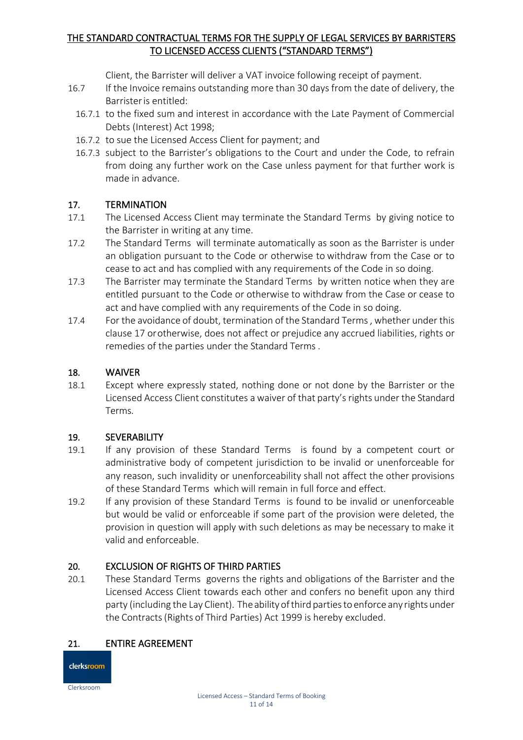Client, the Barrister will deliver a VAT invoice following receipt of payment.

- 16.7 If the Invoice remains outstanding more than 30 days from the date of delivery, the Barrister is entitled:
	- 16.7.1 to the fixed sum and interest in accordance with the Late Payment of Commercial Debts (Interest) Act 1998;
	- 16.7.2 to sue the Licensed Access Client for payment; and
	- 16.7.3 subject to the Barrister's obligations to the Court and under the Code, to refrain from doing any further work on the Case unless payment for that further work is made in advance.

## 17. TERMINATION

- 17.1 The Licensed Access Client may terminate the Standard Terms by giving notice to the Barrister in writing at any time.
- 17.2 The Standard Terms will terminate automatically as soon as the Barrister is under an obligation pursuant to the Code or otherwise to withdraw from the Case or to cease to act and has complied with any requirements of the Code in so doing.
- 17.3 The Barrister may terminate the Standard Terms by written notice when they are entitled pursuant to the Code or otherwise to withdraw from the Case or cease to act and have complied with any requirements of the Code in so doing.
- 17.4 For the avoidance of doubt, termination of the Standard Terms , whether under this clause 17 or otherwise, does not affect or prejudice any accrued liabilities, rights or remedies of the parties under the Standard Terms .

#### 18. WAIVER

18.1 Except where expressly stated, nothing done or not done by the Barrister or the Licensed Access Client constitutes a waiver of that party's rights under the Standard Terms.

## 19. SEVERABILITY

- 19.1 If any provision of these Standard Terms is found by a competent court or administrative body of competent jurisdiction to be invalid or unenforceable for any reason, such invalidity or unenforceability shall not affect the other provisions of these Standard Terms which will remain in full force and effect.
- 19.2 If any provision of these Standard Terms is found to be invalid or unenforceable but would be valid or enforceable if some part of the provision were deleted, the provision in question will apply with such deletions as may be necessary to make it valid and enforceable.

## 20. EXCLUSION OF RIGHTS OF THIRD PARTIES

20.1 These Standard Terms governs the rights and obligations of the Barrister and the Licensed Access Client towards each other and confers no benefit upon any third party (including the Lay Client). The ability of third parties to enforce any rights under the Contracts(Rights of Third Parties) Act 1999 is hereby excluded.

## 21. ENTIRE AGREEMENT

clerksroom Clerksroom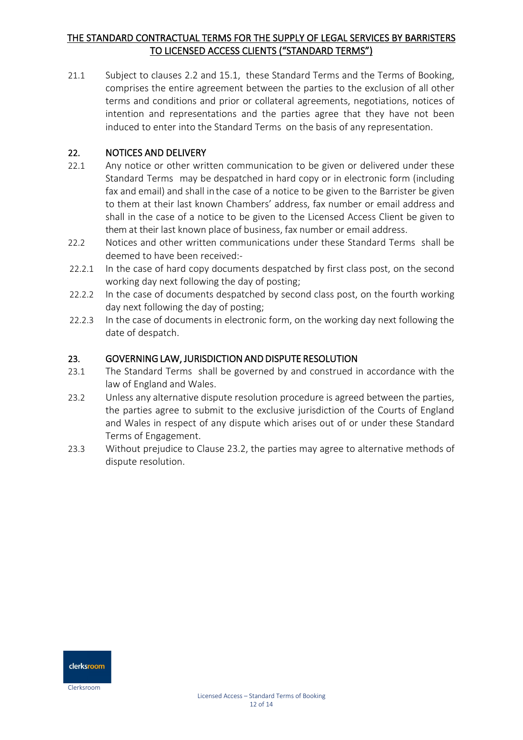21.1 Subject to clauses 2.2 and 15.1, these Standard Terms and the Terms of Booking, comprises the entire agreement between the parties to the exclusion of all other terms and conditions and prior or collateral agreements, negotiations, notices of intention and representations and the parties agree that they have not been induced to enter into the Standard Terms on the basis of any representation.

## 22. NOTICES AND DELIVERY

- 22.1 Any notice or other written communication to be given or delivered under these Standard Terms may be despatched in hard copy or in electronic form (including fax and email) and shall in the case of a notice to be given to the Barrister be given to them at their last known Chambers' address, fax number or email address and shall in the case of a notice to be given to the Licensed Access Client be given to them at their last known place of business, fax number or email address.
- 22.2 Notices and other written communications under these Standard Terms shall be deemed to have been received:-
- 22.2.1 In the case of hard copy documents despatched by first class post, on the second working day next following the day of posting;
- 22.2.2 In the case of documents despatched by second class post, on the fourth working day next following the day of posting;
- 22.2.3 In the case of documents in electronic form, on the working day next following the date of despatch.

## 23. GOVERNING LAW, JURISDICTION AND DISPUTE RESOLUTION

- 23.1 The Standard Terms shall be governed by and construed in accordance with the law of England and Wales.
- 23.2 Unless any alternative dispute resolution procedure is agreed between the parties, the parties agree to submit to the exclusive jurisdiction of the Courts of England and Wales in respect of any dispute which arises out of or under these Standard Terms of Engagement.
- 23.3 Without prejudice to Clause 23.2, the parties may agree to alternative methods of dispute resolution.

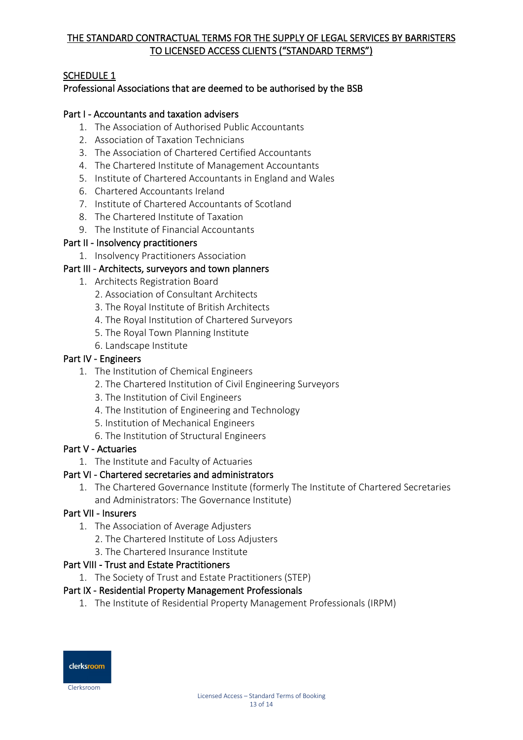## SCHEDULE 1

## Professional Associations that are deemed to be authorised by the BSB

## Part I - Accountants and taxation advisers

- 1. The Association of Authorised Public Accountants
- 2. Association of Taxation Technicians
- 3. The Association of Chartered Certified Accountants
- 4. The Chartered Institute of Management Accountants
- 5. Institute of Chartered Accountants in England and Wales
- 6. Chartered Accountants Ireland
- 7. Institute of Chartered Accountants of Scotland
- 8. The Chartered Institute of Taxation
- 9. The Institute of Financial Accountants

#### Part II - Insolvency practitioners

1. Insolvency Practitioners Association

#### Part III - Architects, surveyors and town planners

- 1. Architects Registration Board
	- 2. Association of Consultant Architects
	- 3. The Royal Institute of British Architects
	- 4. The Royal Institution of Chartered Surveyors
	- 5. The Royal Town Planning Institute
	- 6. Landscape Institute

#### Part IV - Engineers

- 1. The Institution of Chemical Engineers
	- 2. The Chartered Institution of Civil Engineering Surveyors
	- 3. The Institution of Civil Engineers
	- 4. The Institution of Engineering and Technology
	- 5. Institution of Mechanical Engineers
	- 6. The Institution of Structural Engineers

#### Part V - Actuaries

1. The Institute and Faculty of Actuaries

## Part VI - Chartered secretaries and administrators

1. The Chartered Governance Institute (formerly The Institute of Chartered Secretaries and Administrators: The Governance Institute)

## Part VII - Insurers

- 1. The Association of Average Adjusters
	- 2. The Chartered Institute of Loss Adjusters
	- 3. The Chartered Insurance Institute

## Part VIII - Trust and Estate Practitioners

1. The Society of Trust and Estate Practitioners (STEP)

## Part IX - Residential Property Management Professionals

1. The Institute of Residential Property Management Professionals (IRPM)



Clerksroom